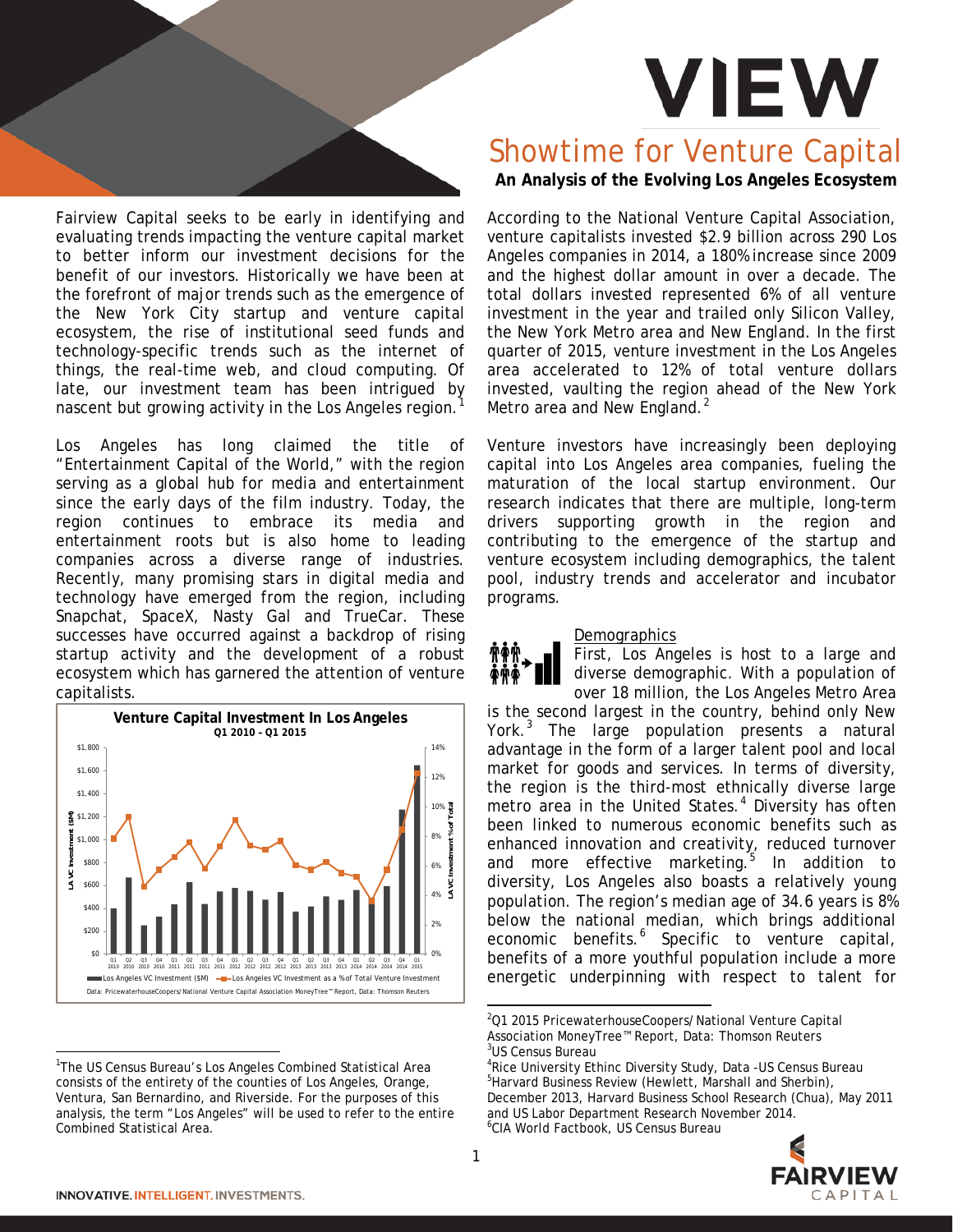# **VIEW**

Fairview Capital seeks to be early in identifying and evaluating trends impacting the venture capital market to better inform our investment decisions for the benefit of our investors. Historically we have been at the forefront of major trends such as the emergence of the New York City startup and venture capital ecosystem, the rise of institutional seed funds and technology-specific trends such as the internet of things, the real-time web, and cloud computing. Of late, our investment team has been intrigued by nascent but growing activity in the Los Angeles region.

Los Angeles has long claimed the title of "Entertainment Capital of the World," with the region serving as a global hub for media and entertainment since the early days of the film industry. Today, the region continues to embrace its media and entertainment roots but is also home to leading companies across a diverse range of industries. Recently, many promising stars in digital media and technology have emerged from the region, including Snapchat, SpaceX, Nasty Gal and TrueCar. These successes have occurred against a backdrop of rising startup activity and the development of a robust ecosystem which has garnered the attention of venture capitalists.



<span id="page-0-4"></span><span id="page-0-3"></span><span id="page-0-2"></span><span id="page-0-1"></span><span id="page-0-0"></span><sup>|&</sup>lt;br>1 <sup>1</sup>The US Census Bureau's Los Angeles Combined Statistical Area consists of the entirety of the counties of Los Angeles, Orange, Ventura, San Bernardino, and Riverside. For the purposes of this analysis, the term "Los Angeles" will be used to refer to the entire Combined Statistical Area.

# Showtime for Venture Capital

**An Analysis of the Evolving Los Angeles Ecosystem**

According to the National Venture Capital Association, venture capitalists invested \$2.9 billion across 290 Los Angeles companies in 2014, a 180% increase since 2009 and the highest dollar amount in over a decade. The total dollars invested represented 6% of all venture investment in the year and trailed only Silicon Valley, the New York Metro area and New England. In the first quarter of 2015, venture investment in the Los Angeles area accelerated to 12% of total venture dollars invested, vaulting the region ahead of the New York Metro area and New England.<sup>[2](#page-0-1)</sup>

Venture investors have increasingly been deploying capital into Los Angeles area companies, fueling the maturation of the local startup environment. Our research indicates that there are multiple, long-term drivers supporting growth in the region and contributing to the emergence of the startup and venture ecosystem including demographics, the talent pool, industry trends and accelerator and incubator programs.

# Demographics

First, Los Angeles is host to a large and diverse demographic. With a population of over 18 million, the Los Angeles Metro Area

is the second largest in the country, behind only New York.<sup>[3](#page-0-2)</sup> The large population presents a natural advantage in the form of a larger talent pool and local market for goods and services. In terms of diversity, the region is the third-most ethnically diverse large metro area in the United States.<sup>[4](#page-0-0)</sup> Diversity has often been linked to numerous economic benefits such as enhanced innovation and creativity, reduced turnover and more effective marketing. $5$  In addition to diversity, Los Angeles also boasts a relatively young population. The region's median age of 34.6 years is 8% below the national median, which brings additional economic benefits.<sup>[6](#page-0-4)</sup> Specific to venture capital, benefits of a more youthful population include a more energetic underpinning with respect to talent for

<sup>4</sup> Rice University Ethinc Diversity Study, Data -US Census Bureau<br><sup>5</sup> Harvard Business Roview (Howlett, Marshall and Sherbin) <sup>5</sup>Harvard Business Review (Hewlett, Marshall and Sherbin), December 2013, Harvard Business School Research (Chua), May 2011 and US Labor Department Research November 2014. 6 CIA World Factbook, US Census Bureau



 $\frac{1}{2}$ <sup>2</sup>Q1 2015 PricewaterhouseCoopers/National Venture Capital Association MoneyTree™ Report, Data: Thomson Reuters 3 US Census Bureau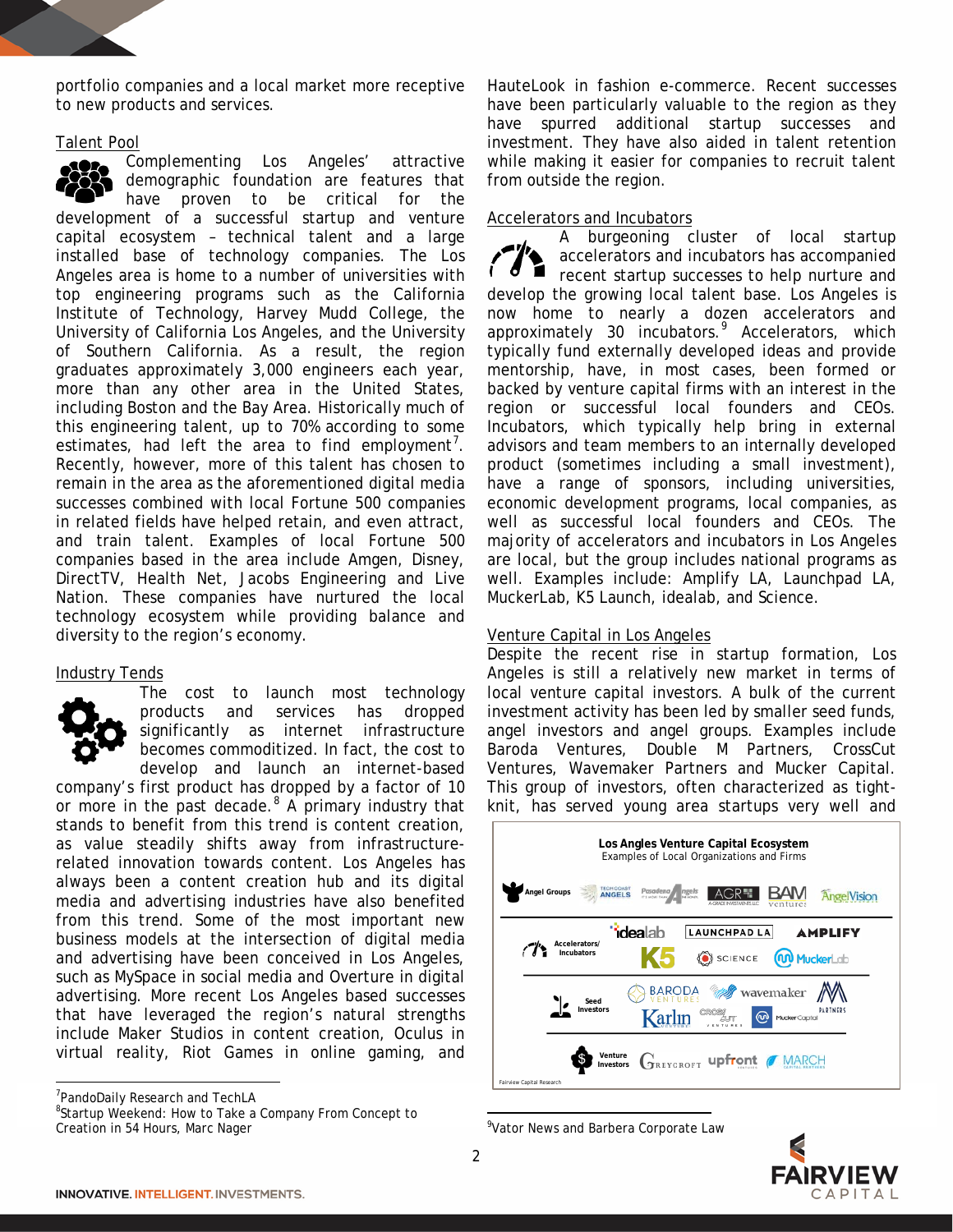portfolio companies and a local market more receptive to new products and services.

#### Talent Pool

Complementing Los Angeles' attractive demographic foundation are features that have proven to be critical for the development of a successful startup and venture capital ecosystem – technical talent and a large installed base of technology companies. The Los Angeles area is home to a number of universities with top engineering programs such as the California Institute of Technology, Harvey Mudd College, the University of California Los Angeles, and the University of Southern California. As a result, the region graduates approximately 3,000 engineers each year, more than any other area in the United States, including Boston and the Bay Area. Historically much of this engineering talent, up to 70% according to some estimates, had left the area to find employment<sup>[7](#page-1-0)</sup>. Recently, however, more of this talent has chosen to remain in the area as the aforementioned digital media successes combined with local Fortune 500 companies in related fields have helped retain, and even attract, and train talent. Examples of local Fortune 500 companies based in the area include Amgen, Disney, DirectTV, Health Net, Jacobs Engineering and Live Nation. These companies have nurtured the local technology ecosystem while providing balance and diversity to the region's economy.

# Industry Tends



The cost to launch most technology products and services has dropped significantly as internet infrastructure becomes commoditized. In fact, the cost to develop and launch an internet-based

company's first product has dropped by a factor of 10 or more in the past decade. $8$  A primary industry that stands to benefit from this trend is content creation, as value steadily shifts away from infrastructurerelated innovation towards content. Los Angeles has always been a content creation hub and its digital media and advertising industries have also benefited from this trend. Some of the most important new business models at the intersection of digital media and advertising have been conceived in Los Angeles, such as MySpace in social media and Overture in digital advertising. More recent Los Angeles based successes that have leveraged the region's natural strengths include Maker Studios in content creation, Oculus in virtual reality, Riot Games in online gaming, and

-<br>7 PandoDaily Research and TechLA

<span id="page-1-2"></span><span id="page-1-1"></span><span id="page-1-0"></span><sup>8</sup>Startup Weekend: How to Take a Company From Concept to Creation in 54 Hours, Marc Nager

HauteLook in fashion e-commerce. Recent successes have been particularly valuable to the region as they have spurred additional startup successes and investment. They have also aided in talent retention while making it easier for companies to recruit talent from outside the region.

# Accelerators and Incubators

A burgeoning cluster of local startup accelerators and incubators has accompanied recent startup successes to help nurture and develop the growing local talent base. Los Angeles is now home to nearly a dozen accelerators and approximately 30 incubators.<sup>[9](#page-1-2)</sup> Accelerators, which typically fund externally developed ideas and provide mentorship, have, in most cases, been formed or backed by venture capital firms with an interest in the region or successful local founders and CEOs. Incubators, which typically help bring in external advisors and team members to an internally developed product (sometimes including a small investment), have a range of sponsors, including universities, economic development programs, local companies, as well as successful local founders and CEOs. The majority of accelerators and incubators in Los Angeles are local, but the group includes national programs as well. Examples include: Amplify LA, Launchpad LA, MuckerLab, K5 Launch, idealab, and Science.

# Venture Capital in Los Angeles

Despite the recent rise in startup formation, Los Angeles is still a relatively new market in terms of local venture capital investors. A bulk of the current investment activity has been led by smaller seed funds, angel investors and angel groups. Examples include Baroda Ventures, Double M Partners, CrossCut Ventures, Wavemaker Partners and Mucker Capital. This group of investors, often characterized as tightknit, has served young area startups very well and



<sup>-&</sup>lt;br>9 <sup>9</sup>Vator News and Barbera Corporate Law